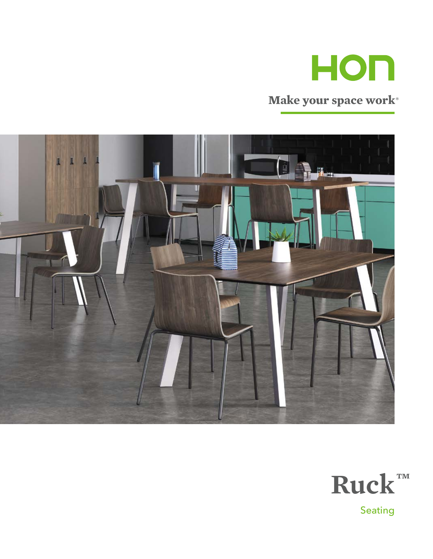

## **Make your space work®**



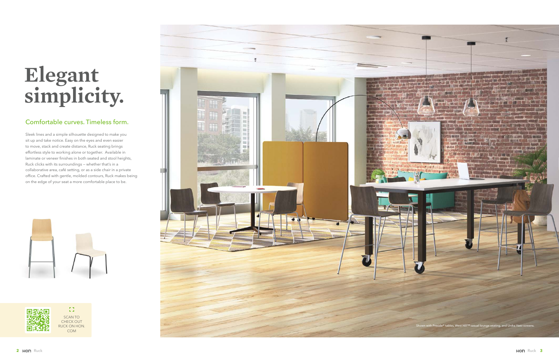Sleek lines and a simple silhouette designed to make you sit up and take notice. Easy on the eyes and even easier to move, stack and create distance, Ruck seating brings effortless style to working alone or together. Available in laminate or veneer finishes in both seated and stool heights, Ruck clicks with its surroundings — whether that's in a collaborative area, café setting, or as a side chair in a private office. Crafted with gentle, molded contours, Ruck makes being on the edge of your seat a more comfortable place to be.





 $\mathbb{Z}^n$ SCAN TO CHECK OUT RUCK ON HON. COM

# **Elegant simplicity.**

## Comfortable curves. Timeless form.